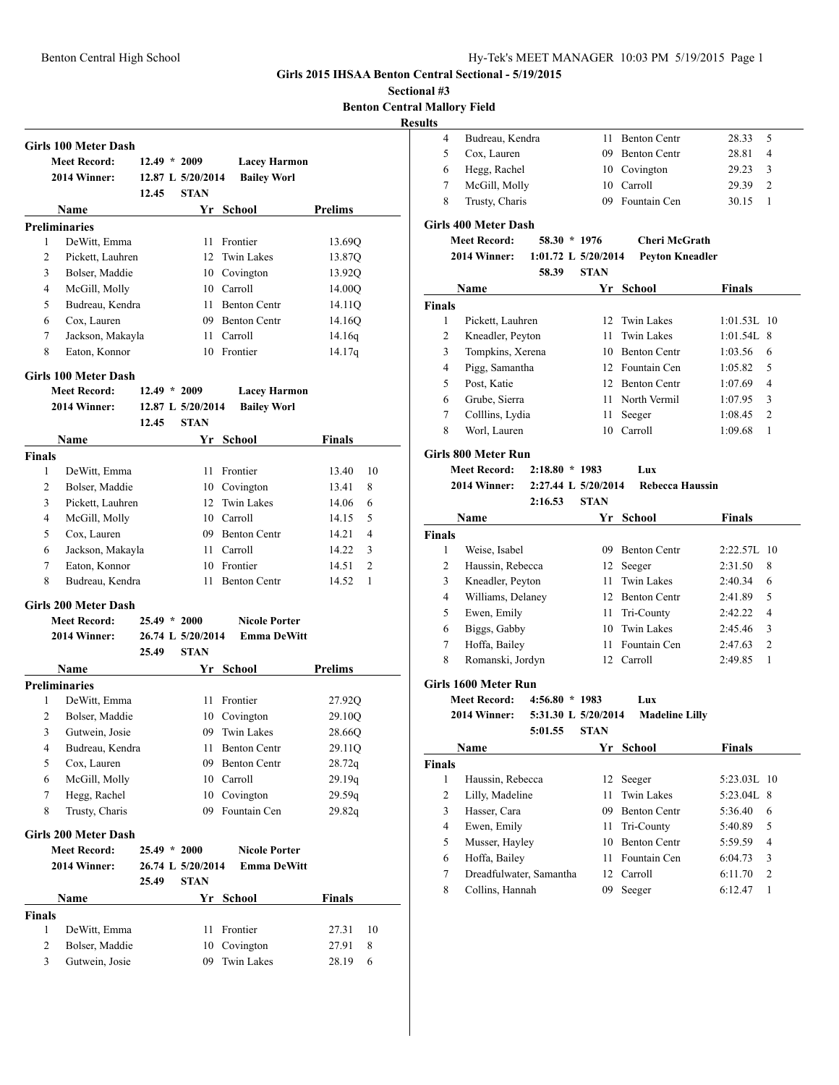### **Girls 2015 IHSAA Benton Central Sectional - 5/19/2015**

**Sectional #3 Benton Central Mallory Field**

|                |                                                    |                |                     |                      |                |    | <b>Results</b> |
|----------------|----------------------------------------------------|----------------|---------------------|----------------------|----------------|----|----------------|
|                | Girls 100 Meter Dash                               |                |                     |                      |                |    |                |
|                | <b>Meet Record:</b>                                | $12.49 * 2009$ |                     | <b>Lacey Harmon</b>  |                |    |                |
|                | 2014 Winner:                                       |                | 12.87 L $5/20/2014$ | <b>Bailey Worl</b>   |                |    |                |
|                |                                                    | 12.45          | <b>STAN</b>         |                      |                |    |                |
|                | Name                                               |                |                     | Yr School            | <b>Prelims</b> |    |                |
|                | <b>Preliminaries</b>                               |                |                     |                      |                |    | Gir            |
| 1              | DeWitt, Emma                                       |                |                     | 11 Frontier          | 13.69Q         |    |                |
| 2              | Pickett, Lauhren                                   |                | 12                  | <b>Twin Lakes</b>    | 13.87Q         |    |                |
| 3              | Bolser, Maddie                                     |                |                     | 10 Covington         | 13.92Q         |    |                |
| 4              | McGill, Molly                                      |                |                     | 10 Carroll           | 14.00O         |    |                |
| 5              | Budreau, Kendra                                    |                | 11                  | <b>Benton Centr</b>  | 14.11Q         |    | Fin            |
| 6              | Cox, Lauren                                        |                |                     | 09 Benton Centr      | 14.16Q         |    |                |
| 7              | Jackson, Makayla                                   |                |                     | 11 Carroll           | 14.16q         |    |                |
| 8              | Eaton, Konnor                                      |                |                     | 10 Frontier          | 14.17q         |    |                |
|                | Girls 100 Meter Dash                               |                |                     |                      |                |    |                |
|                | <b>Meet Record:</b>                                | $12.49 * 2009$ |                     | <b>Lacey Harmon</b>  |                |    |                |
|                | 2014 Winner:                                       |                | 12.87 L 5/20/2014   | <b>Bailey Worl</b>   |                |    |                |
|                |                                                    | 12.45          | <b>STAN</b>         |                      |                |    |                |
|                | Name                                               |                |                     | Yr School            | <b>Finals</b>  |    |                |
| <b>Finals</b>  |                                                    |                |                     |                      |                |    | Gir            |
| 1              | DeWitt, Emma                                       |                | 11                  | Frontier             | 13.40          | 10 |                |
| 2              | Bolser, Maddie                                     |                |                     | 10 Covington         | 13.41          | 8  |                |
| 3              | Pickett, Lauhren                                   |                | 12                  | <b>Twin Lakes</b>    | 14.06          | 6  |                |
| 4              | McGill, Molly                                      |                |                     | 10 Carroll           | 14.15          | 5  |                |
| 5              | Cox, Lauren                                        |                |                     | 09 Benton Centr      | 14.21          | 4  | Fin            |
| 6              | Jackson, Makayla                                   |                |                     | 11 Carroll           | 14.22          | 3  |                |
| 7              | Eaton, Konnor                                      |                |                     | 10 Frontier          | 14.51          | 2  |                |
| 8              | Budreau, Kendra                                    |                |                     | 11 Benton Centr      | 14.52          | 1  |                |
|                | Girls 200 Meter Dash                               |                |                     |                      |                |    |                |
|                | <b>Meet Record:</b>                                | $25.49 * 2000$ |                     | <b>Nicole Porter</b> |                |    |                |
|                | 2014 Winner:                                       |                | 26.74 L 5/20/2014   | <b>Emma DeWitt</b>   |                |    |                |
|                |                                                    | 25.49          | <b>STAN</b>         |                      |                |    |                |
|                | Name                                               |                |                     | Yr School            | <b>Prelims</b> |    |                |
|                | <b>Preliminaries</b>                               |                |                     |                      |                |    | Gil            |
| 1              | DeWitt, Emma                                       |                | 11                  | Frontier             | 27.92Q         |    |                |
| 2              | Bolser, Maddie                                     |                |                     | 10 Covington         | 29.10Q         |    |                |
| 3              | Gutwein, Josie                                     |                | 09                  | Twin Lakes           | 28.66Q         |    |                |
| 4              | Budreau, Kendra                                    |                | 11                  | <b>Benton Centr</b>  | 29.11Q         |    |                |
| 5              | Cox, Lauren                                        |                | 09                  | <b>Benton Centr</b>  | 28.72q         |    | Fin            |
| 6              | McGill, Molly                                      |                |                     | 10 Carroll           | 29.19q         |    |                |
| 7              | Hegg, Rachel                                       |                | 10                  | Covington            | 29.59q         |    |                |
| 8              | Trusty, Charis                                     |                | 09                  | Fountain Cen         | 29.82q         |    |                |
|                |                                                    |                |                     |                      |                |    |                |
|                | <b>Girls 200 Meter Dash</b><br><b>Meet Record:</b> | $25.49 * 2000$ |                     | <b>Nicole Porter</b> |                |    |                |
|                |                                                    |                |                     |                      |                |    |                |
|                | 2014 Winner:                                       |                | 26.74 L 5/20/2014   | <b>Emma DeWitt</b>   |                |    |                |
|                |                                                    | 25.49          | <b>STAN</b>         |                      |                |    |                |
|                | Name                                               |                |                     | Yr School            | <b>Finals</b>  |    |                |
| <b>Finals</b>  |                                                    |                |                     |                      |                |    |                |
| 1              | DeWitt, Emma                                       |                | 11                  | Frontier             | 27.31          | 10 |                |
| $\overline{2}$ | Bolser, Maddie                                     |                | 10                  | Covington            | 27.91          | 8  |                |
| 3              | Gutwein, Josie                                     |                | 09                  | Twin Lakes           | 28.19          | 6  |                |

| . . |                 |                 |       |                |
|-----|-----------------|-----------------|-------|----------------|
|     | Budreau, Kendra | 11 Benton Centr | 28.33 | - 5            |
|     | Cox, Lauren     | 09 Benton Centr | 28.81 | $\overline{4}$ |
| 6   | Hegg, Rachel    | 10 Covington    | 29.23 | $\mathbf{3}$   |
|     | McGill, Molly   | 10 Carroll      | 29.39 |                |
| 8   | Trusty, Charis  | 09 Fountain Cen | 30.15 |                |

### **Girls 400 Meter Dash**

| <b>Meet Record:</b> | $58.30 * 1976$ |                       | <b>Cheri McGrath</b> |
|---------------------|----------------|-----------------------|----------------------|
| 2014 Winner:        |                | 1:01.72 L $5/20/2014$ | Pevton Kneadler      |
|                     | 58.39          | <b>STAN</b>           |                      |

|               | Name             |    | Yr School           | <b>Finals</b> |               |
|---------------|------------------|----|---------------------|---------------|---------------|
| <b>Finals</b> |                  |    |                     |               |               |
| 1             | Pickett, Lauhren |    | 12 Twin Lakes       | $1:01.53L$ 10 |               |
| 2             | Kneadler, Peyton | 11 | Twin Lakes          | $1:01.54L$ 8  |               |
| 3             | Tompkins, Xerena | 10 | <b>Benton Centr</b> | 1:03.56       | 6             |
| 4             | Pigg, Samantha   |    | 12 Fountain Cen     | 1:05.82       | 5             |
| 5             | Post, Katie      |    | 12 Benton Centr     | 1:07.69       | 4             |
| 6             | Grube, Sierra    | 11 | North Vermil        | 1:07.95       | 3             |
| 7             | Colllins, Lydia  | 11 | Seeger              | 1:08.45       | $\mathcal{L}$ |
| 8             | Worl, Lauren     | 10 | Carroll             | 1:09.68       | 1             |

### **Girls 800 Meter Run**

### **Meet Record: 2:18.80 \* 1983 Lux**

### **2014 Winner: 2:27.44 L 5/20/2014 Rebecca Haussin**

### **2:16.53 STAN**

|               | <b>Name</b>       | Yr. | School              | <b>Finals</b>             |  |
|---------------|-------------------|-----|---------------------|---------------------------|--|
| <b>Finals</b> |                   |     |                     |                           |  |
|               | Weise, Isabel     | 09  | <b>Benton Centr</b> | $2:22.57$ . 10            |  |
| 2             | Haussin, Rebecca  |     | 12 Seeger           | 2:31.50<br>8              |  |
| 3             | Kneadler, Peyton  | 11  | Twin Lakes          | 2:40.34<br>6              |  |
| 4             | Williams, Delaney | 12. | <b>Benton Centr</b> | 2:41.89<br>5              |  |
| 5             | Ewen, Emily       | 11  | Tri-County          | 2:42.22<br>4              |  |
| 6             | Biggs, Gabby      | 10  | Twin Lakes          | 2:45.46<br>3              |  |
| 7             | Hoffa, Bailey     | 11  | Fountain Cen        | 2:47.63<br>$\overline{c}$ |  |
| 8             | Romanski, Jordyn  | 12  | Carroll             | 2:49.85                   |  |

### **Girls 1600 Meter Run**

# **Meet Record: 4:56.80 \* 1983 Lux**

**2014 Winner: 5:31.30 L 5/20/2014 Madeline Lilly**

# **5:01.55 STAN**

| Name                    |    | School              | Finals                |                           |
|-------------------------|----|---------------------|-----------------------|---------------------------|
|                         |    |                     |                       |                           |
| Haussin, Rebecca        | 12 | Seeger              |                       |                           |
| Lilly, Madeline         | 11 | Twin Lakes          |                       |                           |
| Hasser, Cara            | 09 | <b>Benton Centr</b> | 5:36.40               | 6                         |
| Ewen, Emily             | 11 |                     | 5:40.89               | 5                         |
| Musser, Hayley          | 10 | <b>Benton Centr</b> | 5:59.59               | $\overline{4}$            |
| Hoffa, Bailey           | 11 | Fountain Cen        | 6:04.73               | 3                         |
| Dreadfulwater, Samantha | 12 |                     | 6:11.70               | $\overline{2}$            |
| Collins, Hannah         | 09 | Seeger              | 6:12.47               |                           |
|                         |    | Yr                  | Tri-County<br>Carroll | 5:23.03L 10<br>5:23.04L 8 |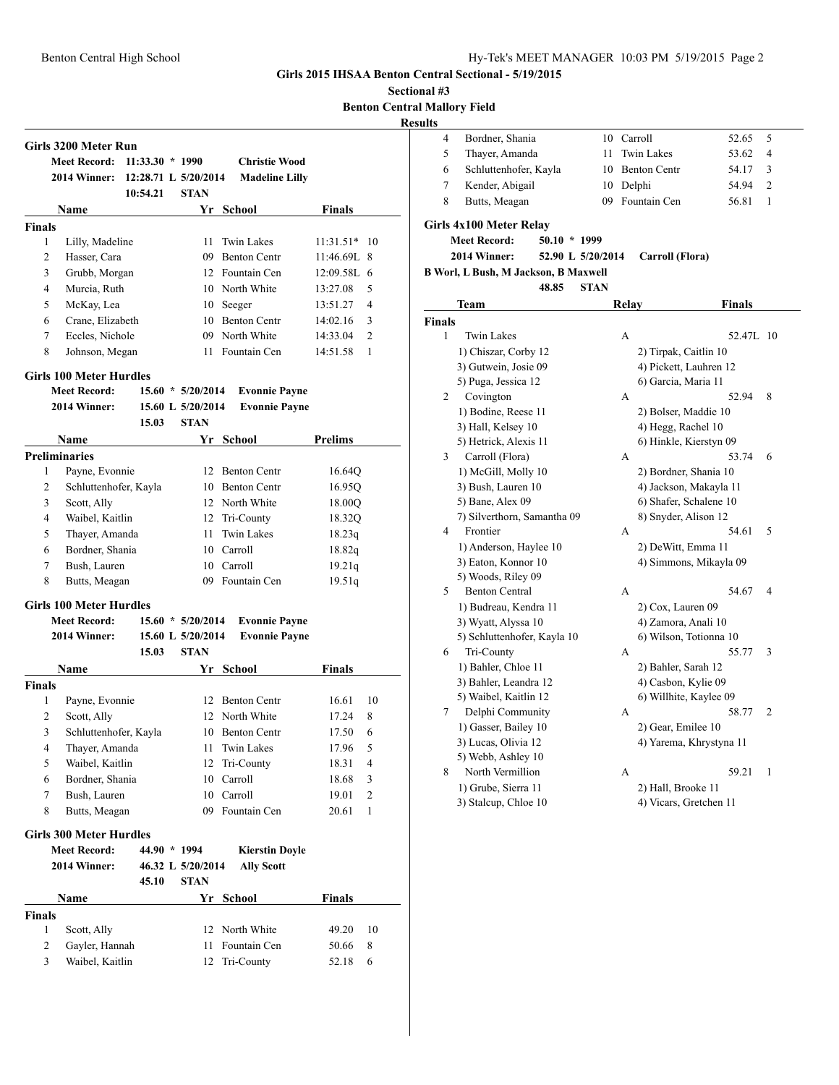**Girls 3200 Meter Run**

**Finals**

### **Girls 2015 IHSAA Benton Central Sectional - 5/19/2015**

**Sectional #3 Benton Central Mallory Field**

# **Results**

|   | Bordner, Shania       | 10 Carroll      | 52.65 5 |               |
|---|-----------------------|-----------------|---------|---------------|
|   | Thayer, Amanda        | 11 Twin Lakes   | 53.62   | 4             |
| 6 | Schluttenhofer, Kayla | 10 Benton Centr | 54.17   | -3            |
|   | Kender, Abigail       | 10 Delphi       | 54.94   | $\mathcal{D}$ |
|   | Butts, Meagan         | 09 Fountain Cen | 56.81   |               |
|   |                       |                 |         |               |

## **Girls 4x100 Meter Relay**

**Meet Record: 50.10 \* 1999**

### **2014 Winner: 52.90 L 5/20/2014 Carroll (Flora)**

## **B Worl, L Bush, M Jackson, B Maxwell**

**48.85 STAN**

| Team                        |                                                                                                                                                                                                                                                                                                                                | <b>Finals</b>           |
|-----------------------------|--------------------------------------------------------------------------------------------------------------------------------------------------------------------------------------------------------------------------------------------------------------------------------------------------------------------------------|-------------------------|
| <b>Finals</b>               |                                                                                                                                                                                                                                                                                                                                |                         |
| <b>Twin Lakes</b>           | A                                                                                                                                                                                                                                                                                                                              | 52.47L 10               |
| 1) Chiszar, Corby 12        |                                                                                                                                                                                                                                                                                                                                | 2) Tirpak, Caitlin 10   |
| 3) Gutwein, Josie 09        |                                                                                                                                                                                                                                                                                                                                | 4) Pickett, Lauhren 12  |
| 5) Puga, Jessica 12         |                                                                                                                                                                                                                                                                                                                                | 6) Garcia, Maria 11     |
| Covington                   | A                                                                                                                                                                                                                                                                                                                              | 8<br>52.94              |
| 1) Bodine, Reese 11         |                                                                                                                                                                                                                                                                                                                                | 2) Bolser, Maddie 10    |
| 3) Hall, Kelsey 10          |                                                                                                                                                                                                                                                                                                                                | 4) Hegg, Rachel 10      |
| 5) Hetrick, Alexis 11       |                                                                                                                                                                                                                                                                                                                                | 6) Hinkle, Kierstyn 09  |
| Carroll (Flora)             | А                                                                                                                                                                                                                                                                                                                              | 53.74<br>6              |
| 1) McGill, Molly 10         |                                                                                                                                                                                                                                                                                                                                | 2) Bordner, Shania 10   |
| 3) Bush, Lauren 10          |                                                                                                                                                                                                                                                                                                                                | 4) Jackson, Makayla 11  |
| 5) Bane, Alex 09            |                                                                                                                                                                                                                                                                                                                                | 6) Shafer, Schalene 10  |
| 7) Silverthorn, Samantha 09 |                                                                                                                                                                                                                                                                                                                                | 8) Snyder, Alison 12    |
| Frontier                    | А                                                                                                                                                                                                                                                                                                                              | 54.61<br>5              |
| 1) Anderson, Haylee 10      |                                                                                                                                                                                                                                                                                                                                | 2) DeWitt, Emma 11      |
| 3) Eaton, Konnor 10         |                                                                                                                                                                                                                                                                                                                                | 4) Simmons, Mikayla 09  |
| 5) Woods, Riley 09          |                                                                                                                                                                                                                                                                                                                                |                         |
|                             | А                                                                                                                                                                                                                                                                                                                              | 54.67<br>4              |
| 1) Budreau, Kendra 11       |                                                                                                                                                                                                                                                                                                                                | 2) Cox, Lauren 09       |
|                             |                                                                                                                                                                                                                                                                                                                                | 4) Zamora, Anali 10     |
|                             |                                                                                                                                                                                                                                                                                                                                | 6) Wilson, Totionna 10  |
|                             | А                                                                                                                                                                                                                                                                                                                              | 55.77<br>3              |
|                             |                                                                                                                                                                                                                                                                                                                                | 2) Bahler, Sarah 12     |
|                             |                                                                                                                                                                                                                                                                                                                                | 4) Casbon, Kylie 09     |
|                             |                                                                                                                                                                                                                                                                                                                                | 6) Willhite, Kaylee 09  |
|                             | А                                                                                                                                                                                                                                                                                                                              | 58.77<br>$\overline{2}$ |
|                             |                                                                                                                                                                                                                                                                                                                                | 2) Gear, Emilee 10      |
|                             |                                                                                                                                                                                                                                                                                                                                | 4) Yarema, Khrystyna 11 |
|                             |                                                                                                                                                                                                                                                                                                                                |                         |
|                             | А                                                                                                                                                                                                                                                                                                                              | 59.21<br>1              |
|                             |                                                                                                                                                                                                                                                                                                                                | 2) Hall, Brooke 11      |
|                             |                                                                                                                                                                                                                                                                                                                                | 4) Vicars, Gretchen 11  |
|                             | <b>Benton Central</b><br>3) Wyatt, Alyssa 10<br>5) Schluttenhofer, Kayla 10<br>Tri-County<br>1) Bahler, Chloe 11<br>3) Bahler, Leandra 12<br>5) Waibel, Kaitlin 12<br>Delphi Community<br>1) Gasser, Bailey 10<br>3) Lucas, Olivia 12<br>5) Webb, Ashley 10<br>North Vermillion<br>1) Grube, Sierra 11<br>3) Stalcup, Chloe 10 | Relay                   |

## **Girls 100 Meter Hurdles**

| <b>Meet Record:</b> | $15.60 * 5/20/2014$ | <b>Evonnie Payne</b> |
|---------------------|---------------------|----------------------|
| 2014 Winner:        | 15.60 L 5/20/2014   | <b>Evonnie Payne</b> |

**Meet Record: 11:33.30 \* 1990 Christie Wood 2014 Winner: 12:28.71 L 5/20/2014 Madeline Lilly 10:54.21 STAN**

**Name Yr School Finals**

 Lilly, Madeline 11 Twin Lakes 11:31.51\* 10 Hasser, Cara 09 Benton Centr 11:46.69L 8 Grubb, Morgan 12 Fountain Cen 12:09.58L 6 Murcia, Ruth 10 North White 13:27.08 5 5 McKay, Lea 10 Seeger 13:51.27 4 Crane, Elizabeth 10 Benton Centr 14:02.16 3 Eccles, Nichole 09 North White 14:33.04 2 8 Johnson, Megan 11 Fountain Cen 14:51.58 1

**15.03 STAN**

|   | <b>Name</b>           |     | Yr School           | Prelims |  |  |  |  |
|---|-----------------------|-----|---------------------|---------|--|--|--|--|
|   | Preliminaries         |     |                     |         |  |  |  |  |
| l | Payne, Evonnie        | 12. | <b>Benton Centr</b> | 16.640  |  |  |  |  |
| 2 | Schluttenhofer, Kayla | 10  | <b>Benton Centr</b> | 16.950  |  |  |  |  |
| 3 | Scott, Ally           |     | 12 North White      | 18.00O  |  |  |  |  |
| 4 | Waibel, Kaitlin       |     | 12 Tri-County       | 18.32Q  |  |  |  |  |
| 5 | Thayer, Amanda        | 11. | Twin Lakes          | 18.23q  |  |  |  |  |
| 6 | Bordner, Shania       | 10  | Carroll             | 18.82q  |  |  |  |  |
| 7 | Bush, Lauren          | 10  | Carroll             | 19.21q  |  |  |  |  |
| 8 | Butts, Meagan         | 09  | Fountain Cen        | 19.51q  |  |  |  |  |

### **Girls 100 Meter Hurdles**

| <b>Meet Record:</b> | $15.60 * 5/20/2014$ | <b>Evonnie Payne</b> |
|---------------------|---------------------|----------------------|
| 2014 Winner:        | 15.60 L 5/20/2014   | <b>Evonnie Payne</b> |

|                |                                | 15.03        | <b>STAN</b>       |                       |               |                |
|----------------|--------------------------------|--------------|-------------------|-----------------------|---------------|----------------|
|                | Name                           |              | Yr                | School                | <b>Finals</b> |                |
| <b>Finals</b>  |                                |              |                   |                       |               |                |
| 1              | Payne, Evonnie                 |              | 12                | <b>Benton Centr</b>   | 16.61         | 10             |
| 2              | Scott, Ally                    |              | 12                | North White           | 17.24         | 8              |
| 3              | Schluttenhofer, Kayla          |              | 10                | <b>Benton Centr</b>   | 17.50         | 6              |
| 4              | Thayer, Amanda                 |              | 11                | Twin Lakes            | 17.96         | 5              |
| 5              | Waibel, Kaitlin                |              | 12                | Tri-County            | 18.31         | 4              |
| 6              | Bordner, Shania                |              | 10                | Carroll               | 18.68         | 3              |
| 7              | Bush, Lauren                   |              | 10                | Carroll               | 19.01         | $\overline{2}$ |
| 8              | Butts, Meagan                  |              | 09                | Fountain Cen          | 20.61         | 1              |
|                | <b>Girls 300 Meter Hurdles</b> |              |                   |                       |               |                |
|                | <b>Meet Record:</b>            | 44.90 * 1994 |                   | <b>Kierstin Doyle</b> |               |                |
|                | 2014 Winner:                   |              | 46.32 L 5/20/2014 | <b>Ally Scott</b>     |               |                |
|                |                                | 45.10        | <b>STAN</b>       |                       |               |                |
|                | Name                           |              | Yr                | School                | Finals        |                |
| <b>Finals</b>  |                                |              |                   |                       |               |                |
| 1              | Scott, Ally                    |              | 12                | North White           | 49.20         | 10             |
| $\overline{c}$ | Gayler, Hannah                 |              | 11                | Fountain Cen          | 50.66         | 8              |
| 3              | Waibel, Kaitlin                |              | 12                | Tri-County            | 52.18         | 6              |
|                |                                |              |                   |                       |               |                |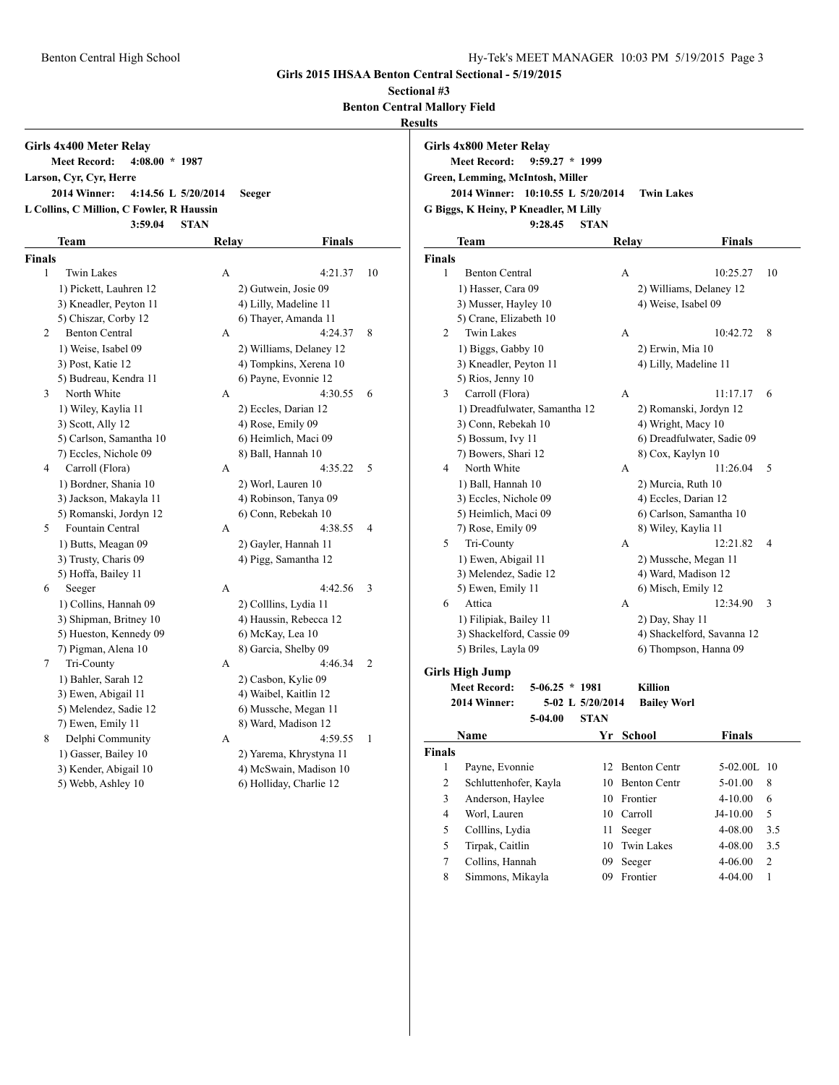**Girls 2015 IHSAA Benton Central Sectional - 5/19/2015**

**Sectional #3**

**Benton Central Mallory Field**

**Results**

|                                                                                                                                                                                                                              |                         |                       |                         |                         | Results                                                                                                                                                                                                                             |                               |                           |                            |                         |
|------------------------------------------------------------------------------------------------------------------------------------------------------------------------------------------------------------------------------|-------------------------|-----------------------|-------------------------|-------------------------|-------------------------------------------------------------------------------------------------------------------------------------------------------------------------------------------------------------------------------------|-------------------------------|---------------------------|----------------------------|-------------------------|
| Girls 4x400 Meter Relay<br><b>Meet Record:</b><br>$4:08.00 * 1987$<br>Larson, Cyr, Cyr, Herre<br>2014 Winner:<br>4:14.56 L 5/20/2014<br><b>Seeger</b><br>L Collins, C Million, C Fowler, R Haussin<br>3:59.04<br><b>STAN</b> |                         |                       |                         |                         | Girls 4x800 Meter Relay<br><b>Meet Record:</b><br>$9:59.27 * 1999$<br>Green, Lemming, McIntosh, Miller<br>2014 Winner: 10:10.55 L 5/20/2014<br><b>Twin Lakes</b><br>G Biggs, K Heiny, P Kneadler, M Lilly<br>9:28.45<br><b>STAN</b> |                               |                           |                            |                         |
|                                                                                                                                                                                                                              | Team                    | Relay                 | <b>Finals</b>           |                         | Team                                                                                                                                                                                                                                |                               | Relay                     | <b>Finals</b>              |                         |
| <b>Finals</b>                                                                                                                                                                                                                |                         |                       |                         |                         | Finals                                                                                                                                                                                                                              |                               |                           |                            |                         |
| $\mathbf{1}$                                                                                                                                                                                                                 | <b>Twin Lakes</b>       | A                     | 4:21.37                 | 10                      | $\mathbf{1}$<br><b>Benton Central</b>                                                                                                                                                                                               |                               | A                         | 10:25.27                   | -10                     |
|                                                                                                                                                                                                                              | 1) Pickett, Lauhren 12  | 2) Gutwein, Josie 09  |                         |                         | 1) Hasser, Cara 09                                                                                                                                                                                                                  |                               |                           | 2) Williams, Delaney 12    |                         |
|                                                                                                                                                                                                                              | 3) Kneadler, Peyton 11  | 4) Lilly, Madeline 11 |                         |                         | 3) Musser, Hayley 10                                                                                                                                                                                                                |                               | 4) Weise, Isabel 09       |                            |                         |
|                                                                                                                                                                                                                              | 5) Chiszar, Corby 12    | 6) Thayer, Amanda 11  |                         |                         | 5) Crane, Elizabeth 10                                                                                                                                                                                                              |                               |                           |                            |                         |
| 2                                                                                                                                                                                                                            | <b>Benton Central</b>   | A                     | 4:24.37                 | 8                       | 2<br>Twin Lakes                                                                                                                                                                                                                     |                               | A                         | 10:42.72                   | - 8                     |
|                                                                                                                                                                                                                              | 1) Weise, Isabel 09     |                       | 2) Williams, Delaney 12 |                         | 1) Biggs, Gabby 10                                                                                                                                                                                                                  |                               | 2) Erwin, Mia 10          |                            |                         |
|                                                                                                                                                                                                                              | 3) Post, Katie 12       |                       | 4) Tompkins, Xerena 10  |                         | 3) Kneadler, Peyton 11                                                                                                                                                                                                              |                               | 4) Lilly, Madeline 11     |                            |                         |
|                                                                                                                                                                                                                              | 5) Budreau, Kendra 11   | 6) Payne, Evonnie 12  |                         |                         | 5) Rios, Jenny 10                                                                                                                                                                                                                   |                               |                           |                            |                         |
| 3                                                                                                                                                                                                                            | North White             | A                     | 4:30.55                 | 6                       | Carroll (Flora)<br>3                                                                                                                                                                                                                |                               | A                         | $11:17.17$ 6               |                         |
|                                                                                                                                                                                                                              | 1) Wiley, Kaylia 11     | 2) Eccles, Darian 12  |                         |                         |                                                                                                                                                                                                                                     | 1) Dreadfulwater, Samantha 12 |                           | 2) Romanski, Jordyn 12     |                         |
|                                                                                                                                                                                                                              | 3) Scott, Ally 12       | 4) Rose, Emily 09     |                         |                         | 3) Conn, Rebekah 10                                                                                                                                                                                                                 |                               | 4) Wright, Macy 10        |                            |                         |
|                                                                                                                                                                                                                              | 5) Carlson, Samantha 10 | 6) Heimlich, Maci 09  |                         |                         | 5) Bossum, Ivy 11                                                                                                                                                                                                                   |                               |                           | 6) Dreadfulwater, Sadie 09 |                         |
|                                                                                                                                                                                                                              | 7) Eccles, Nichole 09   | 8) Ball, Hannah 10    |                         |                         | 7) Bowers, Shari 12                                                                                                                                                                                                                 |                               | 8) Cox, Kaylyn 10         |                            |                         |
| 4                                                                                                                                                                                                                            | Carroll (Flora)         | A                     | 4:35.22                 | 5                       | North White<br>4                                                                                                                                                                                                                    |                               | A                         | 11:26.04                   | - 5                     |
|                                                                                                                                                                                                                              | 1) Bordner, Shania 10   | 2) Worl, Lauren 10    |                         |                         | 1) Ball, Hannah 10                                                                                                                                                                                                                  |                               | 2) Murcia, Ruth 10        |                            |                         |
|                                                                                                                                                                                                                              | 3) Jackson, Makayla 11  |                       | 4) Robinson, Tanya 09   |                         | 3) Eccles, Nichole 09                                                                                                                                                                                                               |                               | 4) Eccles, Darian 12      |                            |                         |
|                                                                                                                                                                                                                              | 5) Romanski, Jordyn 12  | 6) Conn, Rebekah 10   |                         |                         | 5) Heimlich, Maci 09                                                                                                                                                                                                                |                               |                           | 6) Carlson, Samantha 10    |                         |
| 5                                                                                                                                                                                                                            | Fountain Central        | A                     | 4:38.55                 | $\overline{4}$          | 7) Rose, Emily 09                                                                                                                                                                                                                   |                               | 8) Wiley, Kaylia 11       |                            |                         |
|                                                                                                                                                                                                                              | 1) Butts, Meagan 09     | 2) Gayler, Hannah 11  |                         |                         | 5<br>Tri-County                                                                                                                                                                                                                     |                               | A                         | 12:21.82                   | $\overline{4}$          |
|                                                                                                                                                                                                                              | 3) Trusty, Charis 09    | 4) Pigg, Samantha 12  |                         |                         | 1) Ewen, Abigail 11                                                                                                                                                                                                                 |                               |                           | 2) Mussche, Megan 11       |                         |
|                                                                                                                                                                                                                              | 5) Hoffa, Bailey 11     |                       |                         |                         | 3) Melendez, Sadie 12                                                                                                                                                                                                               |                               | 4) Ward, Madison 12       |                            |                         |
| 6                                                                                                                                                                                                                            | Seeger                  | A                     | 4:42.56                 | $\overline{\mathbf{3}}$ | 5) Ewen, Emily 11                                                                                                                                                                                                                   |                               | 6) Misch, Emily 12        |                            |                         |
|                                                                                                                                                                                                                              | 1) Collins, Hannah 09   | 2) Colllins, Lydia 11 |                         |                         | Attica<br>6                                                                                                                                                                                                                         |                               | A                         | 12:34.90                   | $\overline{\mathbf{3}}$ |
|                                                                                                                                                                                                                              | 3) Shipman, Britney 10  |                       | 4) Haussin, Rebecca 12  |                         | 1) Filipiak, Bailey 11                                                                                                                                                                                                              |                               | 2) Day, Shay 11           |                            |                         |
|                                                                                                                                                                                                                              | 5) Hueston, Kennedy 09  | 6) McKay, Lea 10      |                         |                         | 3) Shackelford, Cassie 09                                                                                                                                                                                                           |                               |                           | 4) Shackelford, Savanna 12 |                         |
|                                                                                                                                                                                                                              | 7) Pigman, Alena 10     | 8) Garcia, Shelby 09  |                         |                         | 5) Briles, Layla 09                                                                                                                                                                                                                 |                               |                           | 6) Thompson, Hanna 09      |                         |
| 7                                                                                                                                                                                                                            | Tri-County              | A                     | 4:46.34                 | 2                       | <b>Girls High Jump</b>                                                                                                                                                                                                              |                               |                           |                            |                         |
|                                                                                                                                                                                                                              | 1) Bahler, Sarah 12     | 2) Casbon, Kylie 09   |                         |                         | <b>Meet Record:</b>                                                                                                                                                                                                                 | $5-06.25 * 1981$              | Killion                   |                            |                         |
|                                                                                                                                                                                                                              | 3) Ewen, Abigail 11     | 4) Waibel, Kaitlin 12 |                         |                         | 2014 Winner:                                                                                                                                                                                                                        | 5-02 L 5/20/2014              | <b>Bailey Worl</b>        |                            |                         |
|                                                                                                                                                                                                                              | 5) Melendez, Sadie 12   |                       | 6) Mussche, Megan 11    |                         |                                                                                                                                                                                                                                     | <b>STAN</b><br>5-04.00        |                           |                            |                         |
|                                                                                                                                                                                                                              | 7) Ewen, Emily 11       | 8) Ward, Madison 12   |                         |                         | Name                                                                                                                                                                                                                                |                               | Yr School                 | <b>Finals</b>              |                         |
| 8                                                                                                                                                                                                                            | Delphi Community        | A                     | 4:59.55                 | -1                      |                                                                                                                                                                                                                                     |                               |                           |                            |                         |
|                                                                                                                                                                                                                              | 1) Gasser, Bailey 10    |                       | 2) Yarema, Khrystyna 11 |                         | <b>Finals</b>                                                                                                                                                                                                                       |                               |                           |                            |                         |
|                                                                                                                                                                                                                              | 3) Kender, Abigail 10   |                       | 4) McSwain, Madison 10  |                         | Payne, Evonnie<br>$\mathbf{1}$                                                                                                                                                                                                      |                               | 12 Benton Centr           | 5-02.00L 10                |                         |
|                                                                                                                                                                                                                              | 5) Webb, Ashley 10      |                       | 6) Holliday, Charlie 12 |                         | $\overline{2}$<br>Schluttenhofer, Kayla                                                                                                                                                                                             |                               | <b>Benton Centr</b><br>10 | 5-01.00                    | 8                       |
|                                                                                                                                                                                                                              |                         |                       |                         |                         | 3<br>Anderson, Haylee                                                                                                                                                                                                               |                               | 10<br>Frontier            | 4-10.00                    | - 6                     |
|                                                                                                                                                                                                                              |                         |                       |                         |                         | Worl, Lauren<br>$\overline{4}$                                                                                                                                                                                                      |                               | Carroll<br>10             | J4-10.00                   | 5                       |
|                                                                                                                                                                                                                              |                         |                       |                         |                         | 5<br>Colllins, Lydia                                                                                                                                                                                                                |                               | 11 Seeger                 | 4-08.00                    | 3.5                     |

|   | 3) Kneadler, Peyton 11        |   | 4) Lilly, Madeline 11      |                |  |
|---|-------------------------------|---|----------------------------|----------------|--|
|   | 5) Rios, Jenny 10             |   |                            |                |  |
| 3 | Carroll (Flora)               | А | 11:17.17                   | 6              |  |
|   | 1) Dreadfulwater, Samantha 12 |   | 2) Romanski, Jordyn 12     |                |  |
|   | 3) Conn, Rebekah 10           |   | 4) Wright, Macy 10         |                |  |
|   | 5) Bossum, Ivy 11             |   | 6) Dreadfulwater, Sadie 09 |                |  |
|   | 7) Bowers, Shari 12           |   | 8) Cox, Kaylyn 10          |                |  |
| 4 | North White                   | A | 11:26.04                   | 5              |  |
|   | 1) Ball, Hannah 10            |   | 2) Murcia, Ruth 10         |                |  |
|   | 3) Eccles, Nichole 09         |   | 4) Eccles, Darian 12       |                |  |
|   | 5) Heimlich, Maci 09          |   | 6) Carlson, Samantha 10    |                |  |
|   | 7) Rose, Emily 09             |   | 8) Wiley, Kaylia 11        |                |  |
| 5 | Tri-County                    | A | 12:21.82                   | $\overline{4}$ |  |
|   | 1) Ewen, Abigail 11           |   | 2) Mussche, Megan 11       |                |  |
|   | 3) Melendez, Sadie 12         |   | 4) Ward, Madison 12        |                |  |
|   | 5) Ewen, Emily 11             |   | 6) Misch, Emily 12         |                |  |
| 6 | Attica                        | A | 12:34.90                   | 3              |  |
|   | 1) Filipiak, Bailey 11        |   | 2) Day, Shay 11            |                |  |
|   |                               |   |                            |                |  |

5 Tirpak, Caitlin 10 Twin Lakes 4-08.00 3.5 7 Collins, Hannah 09 Seeger 4-06.00 2 8 Simmons, Mikayla 09 Frontier 4-04.00 1